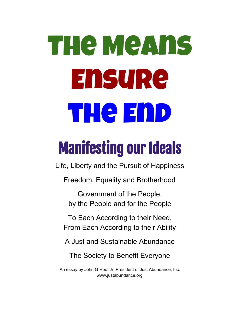# The Means Ensure **THe END**

# Manifesting our Ideals

Life, Liberty and the Pursuit of Happiness

Freedom, Equality and Brotherhood

Government of the People, by the People and for the People

To Each According to their Need, From Each According to their Ability

A Just and Sustainable Abundance

The Society to Benefit Everyone

An essay by John G Root Jr, President of Just Abundance, Inc. www.justabundance.org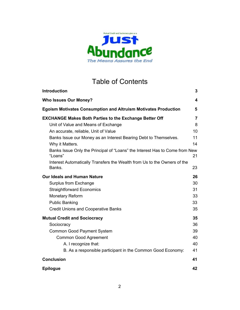

# Table of Contents

| <b>Introduction</b>                                                                    | 3              |
|----------------------------------------------------------------------------------------|----------------|
| <b>Who Issues Our Money?</b>                                                           | 4              |
| <b>Egoism Motivates Consumption and Altruism Motivates Production</b>                  | 5              |
| <b>EXCHANGE Makes Both Parties to the Exchange Better Off</b>                          | $\overline{7}$ |
| Unit of Value and Means of Exchange                                                    | 8              |
| An accurate, reliable, Unit of Value                                                   | 10             |
| Banks Issue our Money as an Interest Bearing Debt to Themselves.                       | 11             |
| Why it Matters.                                                                        | 14             |
| Banks Issue Only the Principal of "Loans" the Interest Has to Come from New<br>"Loans" | 21             |
| Interest Automatically Transfers the Wealth from Us to the Owners of the<br>Banks.     | 23             |
| <b>Our Ideals and Human Nature</b>                                                     | 26             |
| Surplus from Exchange                                                                  | 30             |
| <b>Straightforward Economics</b>                                                       | 31             |
| <b>Monetary Reform</b>                                                                 | 33             |
| <b>Public Banking</b>                                                                  | 33             |
| <b>Credit Unions and Cooperative Banks</b>                                             | 35             |
| <b>Mutual Credit and Sociocracy</b>                                                    | 35             |
| Sociocracy                                                                             | 36             |
| Common Good Payment System                                                             | 39             |
| Common Good Agreement                                                                  | 40             |
| A. I recognize that:                                                                   | 40             |
| B. As a responsible participant in the Common Good Economy:                            | 41             |
| <b>Conclusion</b>                                                                      | 41             |
| <b>Epilogue</b>                                                                        | 42             |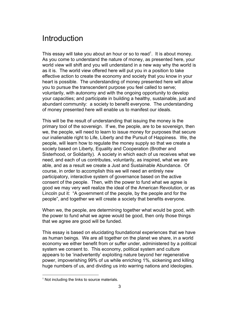# <span id="page-2-0"></span>**Introduction**

This essay will take you about an hour or so to read<sup>1</sup>. It is about money. As you come to understand the nature of money, as presented here, your world view will shift and you will understand in a new way why the world is as it is. The world view offered here will put you in a position to take effective action to create the economy and society that you know in your heart is possible. The understanding of money presented here will allow you to pursue the transcendent purpose you feel called to serve; voluntarily, with autonomy and with the ongoing opportunity to develop your capacities; and participate in building a healthy, sustainable, just and abundant community: a society to benefit everyone. The understanding of money presented here will enable us to manifest our ideals.

This will be the result of understanding that issuing the money is the primary tool of the sovereign. If we, the people, are to be sovereign, then we, the people, will need to learn to issue money for purposes that secure our inalienable right to Life, Liberty and the Pursuit of Happiness. We, the people, will learn how to regulate the money supply so that we create a society based on Liberty, Equality and Cooperation (Brother and Sisterhood, or Solidarity). A society in which each of us receives what we need, and each of us contributes, voluntarily, as inspired, what we are able, and as a result we create a Just and Sustainable Abundance. Of course, in order to accomplish this we will need an entirely new participatory, interactive system of governance based on the active consent of the people. Then, with the power to fund what we agree is good we may very well realize the ideal of the American Revolution, or as Lincoln put it: "A government of the people, by the people and for the people", and together we will create a society that benefits everyone.

When we, the people, are determining together what would be good, with the power to fund what we agree would be good, then only those things that we agree are good will be funded.

This essay is based on elucidating foundational experiences that we have as human beings. We are all together on the planet we share, in a world economy we either benefit from or suffer under, administered by a political system we consent to. This economy, political system and culture appears to be 'inadvertently' exploiting nature beyond her regenerative power, impoverishing 99% of us while enriching 1%, sickening and killing huge numbers of us, and dividing us into warring nations and ideologies.

<sup>&</sup>lt;sup>1</sup> Not including the links to source materials.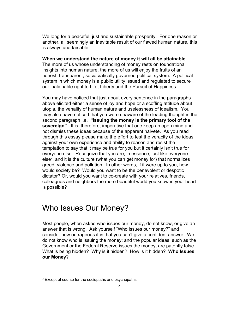We long for a peaceful, just and sustainable prosperity. For one reason or another, all seemingly an inevitable result of our flawed human nature, this is always unattainable.

#### **When we understand the nature of money it will all be attainable**.

The more of us whose understanding of money rests on foundational insights into human nature, the more of us will enjoy the fruits of an honest, transparent, sociocratically governed political system. A political system in which money is a public utility issued and regulated to secure our inalienable right to Life, Liberty and the Pursuit of Happiness.

You may have noticed that just about every sentence in the paragraphs above elicited either a sense of joy and hope or a scoffing attitude about utopia, the venality of human nature and uselessness of idealism. You may also have noticed that you were unaware of the leading thought in the second paragraph i.e. **"Issuing the money is the primary tool of the sovereign"**. It is, therefore, imperative that one keep an open mind and not dismiss these ideas because of the apparent naivete. As you read through this essay please make the effort to test the veracity of the ideas against your own experience and ability to reason and resist the temptation to say that it may be true for you but it certainly isn't true for everyone else. Recognize that you are, in essence, just like everyone else<sup>2</sup>, and it is the culture (what you can get money for) that normalizes greed, violence and pollution. In other words, if it were up to you, how would society be? Would you want to be the benevolent or despotic dictator? Or, would you want to co-create with your relatives, friends, colleagues and neighbors the more beautiful world you know in your heart is possible?

# <span id="page-3-0"></span>Who Issues Our Money?

Most people, when asked who issues our money, do not know, or give an answer that is wrong. Ask yourself "Who issues our money?" and consider how outrageous it is that you can't give a confident answer. We do not know who is issuing the money; and the popular ideas, such as the Government or the Federal Reserve issues the money, are patently false. What is being hidden? Why is it hidden? How is it hidden? **Who Issues our Money**?

 $2$  Except of course for the sociopaths and psychopaths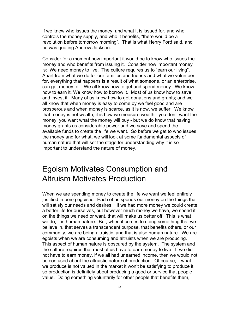If we knew who issues the money, and what it is issued for, and who controls the money supply, and who it benefits, "there would be a revolution before tomorrow morning". That is what Henry Ford said, and he was quoting Andrew Jackson.

Consider for a moment how important it would be to know who issues the money and who benefits from issuing it. Consider how important money is: We need money to live. The culture requires us to "earn our living". Apart from what we do for our families and friends and what we volunteer for, everything that happens is a result of what someone, or an enterprise, can get money for. We all know how to get and spend money. We know how to earn it. We know how to borrow it. Most of us know how to save and invest it. Many of us know how to get donations and grants; and we all know that when money is easy to come by we feel good and are prosperous and when money is scarce, as it is now, we suffer. We know that money is not wealth, it is how we measure wealth - you don't want the money, you want what the money will buy - but we do know that having money grants us considerable power and we save and spend the available funds to create the life we want. So before we get to who issues the money and for what, we will look at some fundamental aspects of human nature that will set the stage for understanding why it is so important to understand the nature of money.

# <span id="page-4-0"></span>Egoism Motivates Consumption and Altruism Motivates Production

When we are spending money to create the life we want we feel entirely justified in being egoistic. Each of us spends our money on the things that will satisfy our needs and desires. If we had more money we could create a better life for ourselves, but however much money we have, we spend it on the things we need or want, that will make us better off. This is what we do, it is human nature. But, when it comes to doing something that we believe in, that serves a transcendent purpose, that benefits others, or our community, we are being altruistic, and that is also human nature. We are egoists when we are consuming and altruists when we are producing. This aspect of human nature is obscured by the system. The system and the culture requires that most of us have to earn money to live If we did not have to earn money, if we all had unearned income, then we would not be confused about the altruistic nature of production. Of course, if what we produce is not valued in the market it won't be satisfying to produce it, so production is definitely about producing a good or service that people value. Doing something voluntarily for other people that benefits them,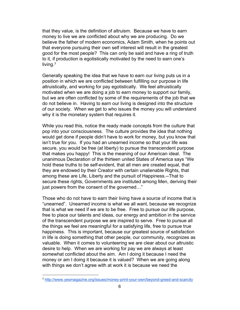that they value, is the definition of altruism. Because we have to earn money to live we are conflicted about why we are producing. Do we believe the father of modern economics, Adam Smith, when he points out that everyone pursuing their own self interest will result in the greatest good for the most people? This can only be said and have a ring of truth to it, if production is egotistically motivated by the need to earn one's living. $3$ 

Generally speaking the idea that we have to earn our living puts us in a position in which we are conflicted between fulfilling our purpose in life altruistically, and working for pay egotistically. We feel altruistically motivated when we are doing a job to earn money to support our family, but we are often conflicted by some of the requirements of the job that we do not believe in. Having to earn our living is designed into the structure of our society. When we get to who issues the money you will understand why it is the monetary system that requires it.

While you read this, notice the ready made concepts from the culture that pop into your consciousness. The culture provides the idea that nothing would get done if people didn't have to work for money, but you know that isn't true for you. If you had an unearned income so that your life was secure, you would be free (at liberty) to pursue the transcendent purpose that makes you happy! This is the meaning of our American ideal. The unanimous Declaration of the thirteen united States of America says "We hold these truths to be self-evident, that all men are created equal, that they are endowed by their Creator with certain unalienable Rights, that among these are Life, Liberty and the pursuit of Happiness.--That to secure these rights, Governments are instituted among Men, deriving their just powers from the consent of the governed…"

Those who do not have to earn their living have a source of income that is "unearned". Unearned income is what we all want, because we recognize that is what we need if we are to be free. Free to pursue our life purpose, free to place our talents and ideas, our energy and ambition in the service of the transcendent purpose we are inspired to serve. Free to pursue all the things we feel are meaningful for a satisfying life, free to pursue true happiness. This is important, because our greatest source of satisfaction in life is doing something that other people, our community, recognizes as valuable. When it comes to volunteering we are clear about our altruistic desire to help. When we are working for pay we are always at least somewhat conflicted about the aim. Am I doing it because I need the money or am I doing it because it is valued? When we are going along with things we don't agree with at work it is because we need the

<sup>3</sup> <http://www.yesmagazine.org/issues/money-print-your-own/beyond-greed-and-scarcity>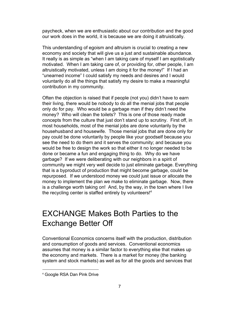paycheck, when we are enthusiastic about our contribution and the good our work does in the world, it is because we are doing it altruistically.

This understanding of egoism and altruism is crucial to creating a new economy and society that will give us a just and sustainable abundance. It really is as simple as "when I am taking care of myself I am egotistically motivated. When I am taking care of, or providing for, other people, I am altruistically motivated, unless I am doing it for the money!" If I had an "unearned income" I could satisfy my needs and desires and I would voluntarily do all the things that satisfy my desire to make a meaningful contribution in my community.

Often the objection is raised that if people (not you) didn't have to earn their living, there would be nobody to do all the menial jobs that people only do for pay. Who would be a garbage man if they didn't need the money? Who will clean the toilets? This is one of those ready made concepts from the culture that just don't stand up to scrutiny. First off, in most households, most of the menial jobs are done voluntarily by the househusband and housewife. Those menial jobs that are done only for pay could be done voluntarily by people like your goodself because you see the need to do them and it serves the community; and because you would be free to design the work so that either it no longer needed to be done or became a fun and engaging thing to do. Why do we have garbage? If we were deliberating with our neighbors in a spirit of community we might very well decide to just eliminate garbage. Everything that is a byproduct of production that might become garbage, could be repurposed. If we understood money we could just issue or allocate the money to implement the plan we make to eliminate garbage. Now, there is a challenge worth taking on! And, by the way, in the town where I live the recycling center is staffed entirely by volunteers!<sup>4</sup>

# <span id="page-6-0"></span>EXCHANGE Makes Both Parties to the Exchange Better Off

Conventional Economics concerns itself with the production, distribution and consumption of goods and services. Conventional economics assumes that money is a similar factor to everything else that makes up the economy and markets. There is a market for money (the banking system and stock markets) as well as for all the goods and services that

<sup>4</sup> Google RSA Dan Pink Drive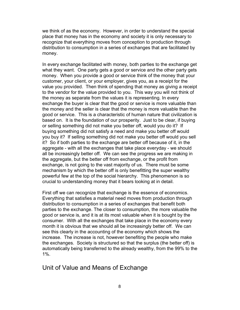we think of as the economy. However, in order to understand the special place that money has in the economy and society it is only necessary to recognize that everything moves from conception to production through distribution to consumption in a series of exchanges that are facilitated by money.

In every exchange facilitated with money, both parties to the exchange get what they want. One party gets a good or service and the other party gets money. When you provide a good or service think of the money that your customer, your client, or your employer, gives you, as a receipt for the value you provided. Then think of spending that money as giving a receipt to the vendor for the value provided to you. This way you will not think of the money as separate from the values it is representing. In every exchange the buyer is clear that the good or service is more valuable than the money and the seller is clear that the money is more valuable than the good or service. This is a characteristic of human nature that civilization is based on. It is the foundation of our prosperity. Just to be clear, if buying or selling something did not make you better off, would you do it? If buying something did not satisfy a need and make you better off would you buy it? If selling something did not make you better off would you sell it? So if both parties to the exchange are better off because of it, in the aggregate - with all the exchanges that take place everyday - we should all be increasingly better off. We can see the progress we are making in the aggregate, but the better off from exchange, or the profit from exchange, is not going to the vast majority of us. There must be some mechanism by which the better off is only benefitting the super wealthy powerful few at the top of the social hierarchy. This phenomenon is so crucial to understanding money that it bears looking at in detail.

First off we can recognize that exchange is the essence of economics. Everything that satisfies a material need moves from production through distribution to consumption in a series of exchanges that benefit both parties to the exchange. The closer to consumption, the more valuable the good or service is, and it is at its most valuable when it is bought by the consumer. With all the exchanges that take place in the economy every month it is obvious that we should all be increasingly better off. We can see this clearly in the accounting of the economy which shows the increase. The increase is not, however benefiting the people who make the exchanges. Society is structured so that the surplus (the better off) is automatically being transferred to the already wealthy, from the 99% to the 1%.

#### <span id="page-7-0"></span>Unit of Value and Means of Exchange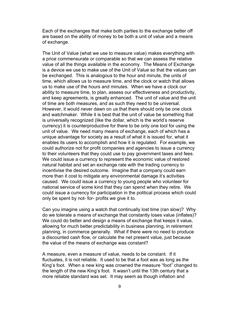Each of the exchanges that make both parties to the exchange better off are based on the ability of money to be both a unit of value and a means of exchange.

The Unit of Value (what we use to measure value) makes everything with a price commensurate or comparable so that we can assess the relative value of all the things available in the economy. The Means of Exchange is a device we use to make use of the Unit of Value so that the values can be exchanged. This is analogous to the hour and minute, the units of time, which allows us to measure time, and the clock or watch that allows us to make use of the hours and minutes. When we have a clock our ability to measure time, to plan, assess our effectiveness and productivity, and keep agreements, is greatly enhanced. The unit of value and the unit of time are both measures, and as such they need to be universal. However, it would never dawn on us that there should only be one clock and watchmaker. While it is best that the unit of value be something that is universally recognized (like the dollar, which is the world's reserve currency) it is counterproductive for there to be only one tool for using the unit of value. We need many means of exchange, each of which has a unique advantage for society as a result of what it is issued for, what it enables its users to accomplish and how it is regulated. For example, we could authorize not for profit companies and agencies to issue a currency to their volunteers that they could use to pay government taxes and fees. We could issue a currency to represent the economic value of restored natural habitat and set an exchange rate with the trading currency to incentivise the desired outcome. Imagine that a company could earn more than it cost to mitigate any environmental damage it's activities caused. We could issue a currency to young people who volunteer for national service of some kind that they can spend when they retire. We could issue a currency for participation in the political process which could only be spent by not- for- profits we give it to.

Can you imagine using a watch that continually lost time (ran slow)? Why do we tolerate a means of exchange that constantly loses value (inflates)? We could do better and design a means of exchange that keeps it value, allowing for much better predictability in business planning, in retirement planning, in commerce generally. What if there were no need to produce a discounted cash flow, or calculate the net present value, just because the value of the means of exchange was constant?

A measure, even a measure of value, needs to be constant. If it fluctuates, it is not reliable. It used to be that a foot was as long as the King's foot. When a new king was crowned the measure "foot" changed to the length of the new King's foot. It wasn't until the 13th century that a more reliable standard was set. It may seem as though inflation and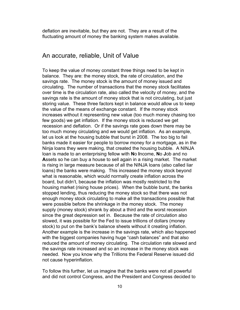deflation are inevitable, but they are not. They are a result of the fluctuating amount of money the banking system makes available.

#### <span id="page-9-0"></span>An accurate, reliable, Unit of Value

To keep the value of money constant three things need to be kept in balance. They are: the money stock, the rate of circulation, and the savings rate. The money stock is the amount of money issued and circulating. The number of transactions that the money stock facilitates over time is the circulation rate, also called the velocity of money, and the savings rate is the amount of money stock that is not circulating, but just storing value. These three factors kept in balance would allow us to keep the value of the means of exchange constant. If the money stock increases without it representing new value (too much money chasing too few goods) we get inflation. If the money stock is reduced we get recession and deflation. Or if the savings rate goes down there may be too much money circulating and we would get inflation. As an example, let us look at the housing bubble that burst in 2008. The too big to fail banks made it easier for people to borrow money for a mortgage, as in the Ninja loans they were making, that created the housing bubble. A NINJA loan is made to an enterprising fellow with **N**o **I**ncome, **N**o **J**ob and no **A**ssets so he can buy a house to sell again in a rising market. The market is rising in large measure because of all the NINJA loans (also called liar loans) the banks were making. This increased the money stock beyond what is reasonable, which would normally create inflation across the board, but didn't, because the inflation was mostly restricted to the housing market (rising house prices). When the bubble burst, the banks stopped lending, thus reducing the money stock so that there was not enough money stock circulating to make all the transactions possible that were possible before the shrinkage in the money stock. The money supply (money stock) shrank by about a third and the worst recession since the great depression set in. Because the rate of circulation also slowed, it was possible for the Fed to issue trillions of dollars (money stock) to put on the bank's balance sheets without it creating inflation. Another example is the increase in the savings rate, which also happened with the biggest companies having huge "cash balances" and that also reduced the amount of money circulating. The circulation rate slowed and the savings rate increased and so an increase in the money stock was needed. Now you know why the Trillions the Federal Reserve issued did not cause hyperinflation.

To follow this further, let us imagine that the banks were not all powerful and did not control Congress, and the President and Congress decided to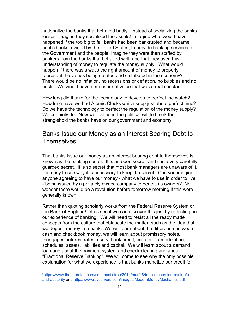nationalize the banks that behaved badly. Instead of socializing the banks losses, imagine they socialized the assets! Imagine what would have happened if the too big to fail banks had been bankrupted and became public banks, owned by the United States, to provide banking services to the Government and the people. Imagine they were then staffed by bankers from the banks that behaved well, and that they used this understanding of money to regulate the money supply. What would happen if there was always the right amount of money to properly represent the values being created and distributed in the economy? There would be no inflation, no recessions or deflation, no bubbles and no busts. We would have a measure of value that was a real constant.

How long did it take for the technology to develop to perfect the watch? How long have we had Atomic Clocks which keep just about perfect time? Do we have the technology to perfect the regulation of the money supply? We certainly do. Now we just need the political will to break the stranglehold the banks have on our government and economy.

#### <span id="page-10-0"></span>Banks Issue our Money as an Interest Bearing Debt to Themselves.

That banks issue our money as an interest bearing debt to themselves is known as the banking secret. It is an open secret, and it is a very carefully guarded secret. It is so secret that most bank managers are unaware of it. It is easy to see why it is necessary to keep it a secret. Can you imagine anyone agreeing to have our money - what we have to use in order to live - being issued by a privately owned company to benefit its owners? No wonder there would be a revolution before tomorrow morning if this were generally known.

Rather than quoting scholarly works from the Federal Reserve System or the Bank of England<sup>5</sup> let us see if we can discover this just by reflecting on our experience of banking. We will need to resist all the ready made concepts from the culture that obfuscate the matter, such as the idea that we deposit money in a bank. We will learn about the difference between cash and checkbook money, we will learn about promissory notes, mortgages, interest rates, usury, bank credit, collateral, amortization schedules, assets, liabilities and capital. We will learn about a demand loan and about the payment system and check clearing and about "Fractional Reserve Banking". We will come to see why the only possible explanation for what we experience is that banks monetize our credit for

<sup>&</sup>lt;sup>5</sup>[https://www.theguardian.com/commentisfree/2014/mar/18/truth-money-iou-bank-of-engl](https://www.theguardian.com/commentisfree/2014/mar/18/truth-money-iou-bank-of-england-austerity) [and-austerity](https://www.theguardian.com/commentisfree/2014/mar/18/truth-money-iou-bank-of-england-austerity) and <http://www.rayservers.com/images/ModernMoneyMechanics.pdf>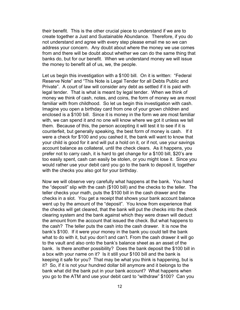their benefit. This is the other crucial piece to understand if we are to create together a Just and Sustainable Abundance. Therefore, if you do not understand and agree with every step please email me so we can address your concern. Any doubt about where the money we use comes from and there will be doubt about whether we can do the same thing that banks do, but for our benefit. When we understand money we will issue the money to benefit all of us, we, the people.

Let us begin this investigation with a \$100 bill. On it is written: "Federal Reserve Note" and "This Note is Legal Tender for all Debts Public and Private". A court of law will consider any debt as settled if it is paid with legal tender. That is what is meant by legal tender. When we think of money we think of cash, notes, and coins, the form of money we are most familiar with from childhood. So let us begin this investigation with cash. Imagine you open a birthday card from one of your grown children and enclosed is a \$100 bill. Since it is money in the form we are most familiar with, we can spend it and no one will know where we got it unless we tell them. Because of this, the person accepting it will test it to see if it is counterfeit, but generally speaking, the best form of money is cash. If it were a check for \$100 and you cashed it, the bank will want to know that your child is good for it and will put a hold on it, or if not, use your savings account balance as collateral, until the check clears. As it happens, you prefer not to carry cash, it is hard to get change for a \$100 bill, \$20's are too easily spent, cash can easily be stolen, or you might lose it. Since you would rather use your debit card you go to the bank to deposit it, together with the checks you also got for your birthday.

Now we will observe very carefully what happens at the bank. You hand the "deposit" slip with the cash (\$100 bill) and the checks to the teller. The teller checks your math, puts the \$100 bill in the cash drawer and the checks in a slot. You get a receipt that shows your bank account balance went up by the amount of the "deposit". You know from experience that the checks will get cleared, that the bank will put the checks into the check clearing system and the bank against which they were drawn will deduct the amount from the account that issued the check. But what happens to the cash? The teller puts the cash into the cash drawer. It is now the bank's \$100. If it were your money in the bank you could tell the bank what to do with it, but you don't and can't. From the cash drawer it will go to the vault and also onto the bank's balance sheet as an asset of the bank. Is there another possibility? Does the bank deposit the \$100 bill in a box with your name on it? Is it still your \$100 bill and the bank is keeping it safe for you? That may be what you think is happening, but is it? So, if it is not your hundred dollar bill anymore and it belongs to the bank what did the bank put in your bank account? What happens when you go to the ATM and use your debit card to "withdraw" \$100? Can you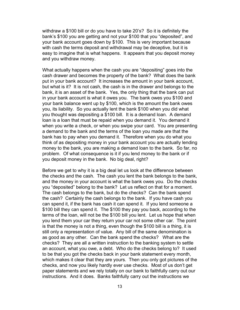withdraw a \$100 bill or do you have to take 20's? So it is definitely the bank's \$100 you are getting and not your \$100 that you "deposited", and your bank account goes down by \$100. This is very important because with cash the terms deposit and withdrawal may be deceptive, but it is easy to imagine that is what happens. It appears that you deposit money and you withdraw money.

What actually happens when the cash you are "depositing" goes into the cash drawer and becomes the property of the bank? What does the bank put in your bank account? It increases the amount in your bank account, but what is it? It is not cash, the cash is in the drawer and belongs to the bank, it is an asset of the bank. Yes, the only thing that the bank can put in your bank account is what it owes you. The bank owes you \$100 and your bank balance went up by \$100, which is the amount the bank owes you, its liability. So you actually lent the bank \$100 when you did what you thought was depositing a \$100 bill. It is a demand loan. A demand loan is a loan that must be repaid when you demand it. You demand it when you write a check, or when you swipe your card. You are presenting a demand to the bank and the terms of the loan you made are that the bank has to pay when you demand it. Therefore when you do what you think of as depositing money in your bank account you are actually lending money to the bank, you are making a demand loan to the bank. So far, no problem. Of what consequence is it if you lend money to the bank or if you deposit money in the bank. No big deal, right?

Before we get to why it is a big deal let us look at the difference between the checks and the cash. The cash you lent the bank belongs to the bank, and the money in your account is what the bank owes you. Do the checks you "deposited" belong to the bank? Let us reflect on that for a moment. The cash belongs to the bank, but do the checks? Can the bank spend the cash? Certainly the cash belongs to the bank. If you have cash you can spend it, if the bank has cash it can spend it. If you lend someone a \$100 bill they can spend it. The \$100 they pay you back, according to the terms of the loan, will not be the \$100 bill you lent. Let us hope that when you lend them your car they return your car not some other car. The point is that the money is not a thing, even though the \$100 bill is a thing, it is still only a representation of value. Any bill of the same denomination is as good as any other. Can the bank spend the checks? What are the checks? They are all a written instruction to the banking system to settle an account, what you owe, a debt. Who do the checks belong to? It used to be that you got the checks back in your bank statement every month, which makes it clear that they are yours. Then you only got pictures of the checks, and now you likely hardly ever use checks. Most of us don't get paper statements and we rely totally on our bank to faithfully carry out our instructions. And it does. Banks faithfully carry out the instructions we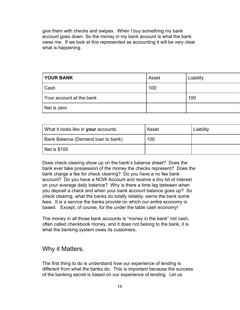give them with checks and swipes. When I buy something my bank account goes down. So the money in my bank account is what the bank owes me. If we look at this represented as accounting it will be very clear what is happening.

| <b>YOUR BANK</b>         | Asset | Liability |
|--------------------------|-------|-----------|
| Cash                     | 100   |           |
| Your account at the bank |       | 100       |
| Net is zero              |       |           |

| What it looks like in your accounts | Asset | Liability |
|-------------------------------------|-------|-----------|
| Bank Balance (Demand loan to bank)  | 100   |           |
| Net is \$100                        |       |           |

Does check clearing show up on the bank's balance sheet? Does the bank ever take possession of the money the checks represent? Does the bank charge a fee for check clearing? Do you have a no fee bank account? Do you have a NOW Account and receive a tiny bit of interest on your average daily balance? Why is there a time lag between when you deposit a check and when your bank account balance goes up? So check clearing, what the banks do totally reliably, earns the bank some fees. It is a service the banks provide on which our entire economy is based. Except, of course, for the under the table cash economy!

The money in all those bank accounts is "money in the bank" not cash, often called checkbook money, and it does not belong to the bank, it is what the banking system owes its customers.

#### <span id="page-13-0"></span>Why it Matters.

The first thing to do is understand how our experience of lending is different from what the banks do. This is important because the success of the banking secret is based on our experience of lending. Let us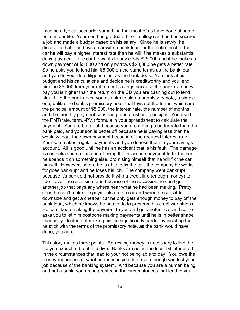imagine a typical scenario, something that most of us have done at some point in our life. Your son has graduated from college and he has secured a job and made a budget based on his salary. Since he is savvy, he discovers that if he buys a car with a bank loan for the entire cost of the car he will pay a higher interest rate than he will if he makes a substantial down payment. The car he wants to buy costs \$25,000 and if he makes a down payment of \$5,000 and only borrows \$20,000 he gets a better rate. So he asks you to lend him \$5,000 on the same terms as the bank loan, and you do your due diligence just as the bank does. You look at his budget and his calculations and decide he is creditworthy and you lend him the \$5,000 from your retirement savings because the bank rate he will pay you is higher than the return on the CD you are cashing out to lend him. Like the bank does, you ask him to sign a promissory note, a simple one, unlike the bank's promissory note, that lays out the terms, which are the principal amount of \$5,000, the interest rate, the number of months and the monthly payment consisting of interest and principal. You used the PMT(rate, term, -PV,) formula in your spreadsheet to calculate the payment. You are better off because you are getting a better rate than the bank paid, and your son is better off because he is paying less than he would without the down payment because of the reduced interest rate. Your son makes regular payments and you deposit them in your savings account. All is good until he has an accident that is his fault. The damage is cosmetic and so, instead of using the insurance payment to fix the car, he spends it on something else, promising himself that he will fix the car himself. However, before he is able to fix the car, the company he works for goes bankrupt and he loses his job. The company went bankrupt because it's bank did not provide it with a credit line (enough money) to tide it over the recession, and because of the recession he can't get another job that pays any where near what he had been making. Pretty soon he can't make the payments on the car and when he sells it to downsize and get a cheaper car he only gets enough money to pay off the bank loan, which he knows he has to do to preserve his creditworthiness. He can't keep making the payment to you and get another car and so he asks you to let him postpone making payments until he is in better shape financially. Instead of making his life significantly harder by insisting that he stick with the terms of the promissory note, as the bank would have done, you agree.

This story makes three points. Borrowing money is necessary to live the life you expect to be able to live. Banks are not in the least bit interested in the circumstances that lead to your not being able to pay: You owe the money regardless of what happens in your life, even though you lost your job because of the banking system. And because you are a human being and not a bank, you are interested in the circumstances that lead to your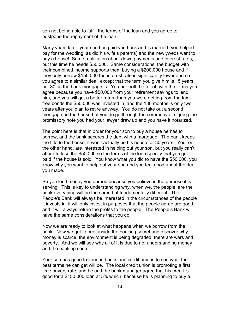son not being able to fulfill the terms of the loan and you agree to postpone the repayment of the loan.

Many years later, your son has paid you back and is married (you helped pay for the wedding, as did his wife's parents) and the newlyweds want to buy a house! Same realization about down payments and interest rates, but this time he needs \$50,000. Same considerations, the budget with their combined income supports them buying a \$200,000 house and if they only borrow \$150,000 the interest rate is significantly lower and so you agree to a similar deal, except that the term you give him is 15 years not 30 as the bank mortgage is. You are both better off with the terms you agree because you have \$50,000 from your retirement savings to lend him, and you will get a better return than you were getting from the tax free bonds the \$50,000 was invested in, and the 180 months is only two years after you plan to retire anyway. You do not take out a second mortgage on the house but you do go through the ceremony of signing the promissory note you had your lawyer draw up and you have it notarized.

The point here is that in order for your son to buy a house he has to borrow, and the bank secures the debt with a mortgage. The bank keeps the title to the house, it won't actually be his house for 30 years. You, on the other hand, are interested in helping out your son, but you really can't afford to lose the \$50,000 so the terms of the loan specify that you get paid if the house is sold. You know what you did to have the \$50,000, you know why you want to help out your son and you feel good about the deal you made.

So you lend money you earned because you believe in the purpose it is serving. This is key to understanding why, when we, the people, are the bank everything will be the same but fundamentally different. The People's Bank will always be interested in the circumstances of the people it invests in, it will only invest in purposes that the people agree are good and it will always return the profits to the people. The People's Bank will have the same considerations that you do!

Now we are ready to look at what happens when we borrow from the bank. Now we get to peer inside the banking secret and discover why money is scarce, the environment is being degraded, there are wars and poverty. And we will see why all of it is due to not understanding money and the banking secret.

Your son has gone to various banks and credit unions to see what the best terms he can get will be. The local credit union is promoting a first time buyers rate, and he and the bank manager agree that his credit is good for a \$150,000 loan at 5% which, because he is planning to buy a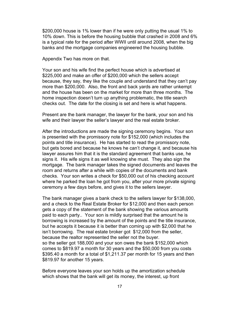\$200,000 house is 1% lower than if he were only putting the usual 1% to 10% down. This is before the housing bubble that crashed in 2008 and 6% is a typical rate for the period after WWII until around 2008, when the big banks and the mortgage companies engineered the housing bubble.

Appendix Two has more on that.

Your son and his wife find the perfect house which is advertised at \$225,000 and make an offer of \$200,000 which the sellers accept because, they say, they like the couple and understand that they can't pay more than \$200,000. Also, the front and back yards are rather unkempt and the house has been on the market for more than three months. The home inspection doesn't turn up anything problematic, the title search checks out. The date for the closing is set and here is what happens.

Present are the bank manager, the lawyer for the bank, your son and his wife and their lawyer the seller's lawyer and the real estate broker.

After the introductions are made the signing ceremony begins. Your son is presented with the promissory note for \$152,000 (which includes the points and title insurance). He has started to read the promissory note, but gets bored and because he knows he can't change it, and because his lawyer assures him that it is the standard agreement that banks use, he signs it. His wife signs it as well knowing she must. They also sign the mortgage. The bank manager takes the signed documents and leaves the room and returns after a while with copies of the documents and bank checks. Your son writes a check for \$50,000 out of his checking account where he parked the loan he got from you, after your more private signing ceremony a few days before, and gives it to the sellers lawyer.

The bank manager gives a bank check to the sellers lawyer for \$138,000, and a check to the Real Estate Broker for \$12,000 and then each person gets a copy of the statement of the bank showing the various amounts paid to each party.. Your son is mildly surprised that the amount he is borrowing is increased by the amount of the points and the title insurance, but he accepts it because it is better than coming up with \$2,000 that he isn't borrowing. The real estate broker got \$12,000 from the seller, because the realtor represented the seller not the buyer. so the seller got 188,000 and your son owes the bank \$152,000 which comes to \$819.97 a month for 30 years and the \$50,000 from you costs \$395.40 a month for a total of \$1,211.37 per month for 15 years and then \$819.97 for another 15 years.

Before everyone leaves your son holds up the amortization schedule which shows that the bank will get its money, the interest, up front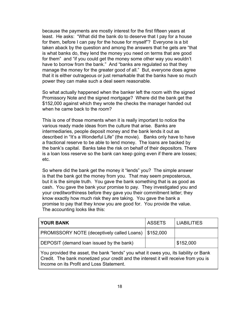because the payments are mostly interest for the first fifteen years at least. He asks: "What did the bank do to deserve that I pay for a house for them, before I can pay for the house for myself"? Everyone is a bit taken aback by the question and among the answers that he gets are "that is what banks do, they lend the money you need on terms that are good for them" and "if you could get the money some other way you wouldn't have to borrow from the bank." And "banks are regulated so that they manage the money for the greater good of all." But, everyone does agree that it is either outrageous or just remarkable that the banks have so much power they can make such a deal seem reasonable.

So what actually happened when the banker left the room with the signed Promissory Note and the signed mortgage? Where did the bank get the \$152,000 against which they wrote the checks the manager handed out when he came back to the room?

This is one of those moments when it is really important to notice the various ready made ideas from the culture that arise. Banks are intermediaries, people deposit money and the bank lends it out as described in "It's a Wonderful Life" (the movie). Banks only have to have a fractional reserve to be able to lend money. The loans are backed by the bank's capital. Banks take the risk on behalf of their depositors. There is a loan loss reserve so the bank can keep going even if there are losses; etc.

So where did the bank get the money it "lends" you? The simple answer is that the bank got the money from you. That may seem preposterous, but it is the simple truth. You gave the bank something that is as good as cash. You gave the bank your promise to pay. They investigated you and your creditworthiness before they gave you their commitment letter; they know exactly how much risk they are taking. You gave the bank a promise to pay that they know you are good for. You provide the value. The accounting looks like this:

| <b>YOUR BANK</b>                                  | <b>ASSETS</b>           | LIABILITIES |
|---------------------------------------------------|-------------------------|-------------|
| <b>PROMISSORY NOTE (deceptively called Loans)</b> | $\frac{1}{2}$ \$152,000 |             |
| DEPOSIT (demand loan issued by the bank)          |                         | \$152,000   |
|                                                   |                         |             |

You provided the asset, the bank "lends" you what it owes you, its liability or Bank Credit. The bank monetized your credit and the interest it will receive from you is Income on its Profit and Loss Statement.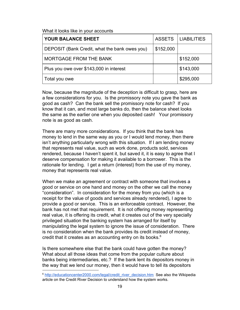What it looks like in your accounts

| YOUR BALANCE SHEET                            | <b>ASSETS</b> | <b>LIABILITIES</b> |
|-----------------------------------------------|---------------|--------------------|
| DEPOSIT (Bank Credit, what the bank owes you) | \$152,000     |                    |
| MORTGAGE FROM THE BANK                        |               | \$152,000          |
| Plus you owe over \$143,000 in interest       |               | \$143,000          |
| Total you owe                                 |               | \$295,000          |

Now, because the magnitude of the deception is difficult to grasp, here are a few considerations for you. Is the promissory note you gave the bank as good as cash? Can the bank sell the promissory note for cash? If you know that it can, and most large banks do, then the balance sheet looks the same as the earlier one when you deposited cash! Your promissory note is as good as cash.

There are many more considerations. If you think that the bank has money to lend in the same way as you or I would lend money, then there isn't anything particularly wrong with this situation. If I am lending money that represents real value, such as work done, products sold, services rendered, because I haven't spent it, but saved it, it is easy to agree that I deserve compensation for making it available to a borrower. This is the rationale for lending. I get a return (interest) from the use of my money, money that represents real value.

When we make an agreement or contract with someone that involves a good or service on one hand and money on the other we call the money "consideration". In consideration for the money from you (which is a receipt for the value of goods and services already rendered), I agree to provide a good or service. This is an enforceable contract. However, the bank has not met that requirement. It is not offering money representing real value, it is offering its credit, what it creates out of the very specially privileged situation the banking system has arranged for itself by manipulating the legal system to ignore the issue of consideration. There is no consideration when the bank provides its credit instead of money, credit that it creates as an accounting entry on its books.<sup>6</sup>

Is there somewhere else that the bank could have gotten the money? What about all those ideas that come from the popular culture about banks being intermediaries, etc.? If the bank lent its depositors money in the way that we lend our money, then it would have to tell its depositors

<sup>&</sup>lt;sup>6</sup> [http://educationcenter2000.com/legal/credit\\_river\\_decision.htm](http://educationcenter2000.com/legal/credit_river_decision.htm) See also the Wikipedia article on the Credit River Decision to understand how the system works.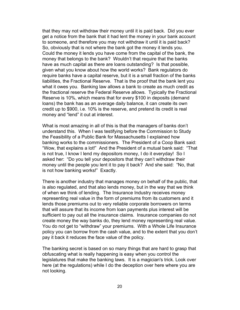that they may not withdraw their money until it is paid back. Did you ever get a notice from the bank that it had lent the money in your bank account to someone, and therefore you may not withdraw it until it is paid back? So, obviously that is not where the bank got the money it lends you. Could the money it lends you have come from the capital of the bank, the money that belongs to the bank? Wouldn't that require that the banks have as much capital as there are loans outstanding? Is that possible, given what you know about how the world works? Bank regulators do require banks have a capital reserve, but it is a small fraction of the banks liabilities, the Fractional Reserve. That is the proof that the bank lent you what it owes you. Banking law allows a bank to create as much credit as the fractional reserve the Federal Reserve allows. Typically the Fractional Reserve is 10%, which means that for every \$100 in deposits (demand loans) the bank has as an average daily balance, it can create its own credit up to \$900, i.e. 10% is the reserve, and pretend its credit is real money and "lend" it out at interest.

What is most amazing in all of this is that the managers of banks don't understand this. When I was testifying before the Commission to Study the Feasibility of a Public Bank for Massachusetts I explained how banking works to the commissioners. The President of a Coop Bank said: "Wow, that explains a lot!" And the President of a mutual bank said: "That is not true, I know I lend my depositors money, I do it everyday! So I asked her: "Do you tell your depositors that they can't withdraw their money until the people you lent it to pay it back? And she said: "No, that is not how banking works!" Exactly.

There is another industry that manages money on behalf of the public, that is also regulated, and that also lends money, but in the way that we think of when we think of lending. The Insurance Industry receives money representing real value in the form of premiums from its customers and it lends those premiums out to very reliable corporate borrowers on terms that will assure that its income from loan payments plus interest will be sufficient to pay out all the insurance claims. Insurance companies do not create money the way banks do, they lend money representing real value. You do not get to "withdraw" your premiums. With a Whole Life Insurance policy you can borrow from the cash value, and to the extent that you don't pay it back it reduces the face value of the policy.

The banking secret is based on so many things that are hard to grasp that obfuscating what is really happening is easy when you control the legislatures that make the banking laws. It is a magician's trick. Look over here (at the regulations) while I do the deception over here where you are not looking.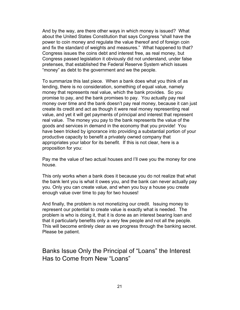And by the way, are there other ways in which money is issued? What about the United States Constitution that says Congress "shall have the power to coin money and regulate the value thereof and of foreign coin and fix the standard of weights and measures." What happened to that? Congress issues the coins debt and interest free, as real money, but Congress passed legislation it obviously did not understand, under false pretenses, that established the Federal Reserve System which issues "money" as debt to the government and we the people.

To summarize this last piece. When a bank does what you think of as lending, there is no consideration, something of equal value, namely money that represents real value, which the bank provides. So you promise to pay, and the bank promises to pay. You actually pay real money over time and the bank doesn't pay real money, because it can just create its credit and act as though it were real money representing real value, and yet it will get payments of principal and interest that represent real value. The money you pay to the bank represents the value of the goods and services in demand in the economy that you provide! You have been tricked by ignorance into providing a substantial portion of your productive capacity to benefit a privately owned company that appropriates your labor for its benefit. If this is not clear, here is a proposition for you:

Pay me the value of two actual houses and I'll owe you the money for one house.

This only works when a bank does it because you do not realize that what the bank lent you is what it owes you, and the bank can never actually pay you. Only you can create value, and when you buy a house you create enough value over time to pay for two houses!

And finally, the problem is not monetizing our credit. Issuing money to represent our potential to create value is exactly what is needed. The problem is who is doing it, that it is done as an interest bearing loan and that it particularly benefits only a very few people and not all the people. This will become entirely clear as we progress through the banking secret. Please be patient.

<span id="page-20-0"></span>Banks Issue Only the Principal of "Loans" the Interest Has to Come from New "Loans"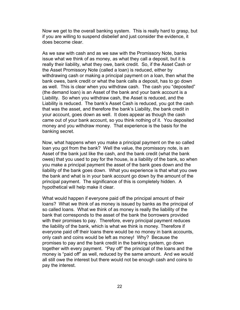Now we get to the overall banking system. This is really hard to grasp, but if you are willing to suspend disbelief and just consider the evidence, it does become clear.

As we saw with cash and as we saw with the Promissory Note, banks issue what we think of as money, as what they call a deposit, but it is really their liability, what they owe, bank credit. So, if the Asset Cash or the Asset Promissory Note (called a loan) is reduced, either by withdrawing cash or making a principal payment on a loan, then what the bank owes, bank credit or what the bank calls a deposit, has to go down as well. This is clear when you withdraw cash. The cash you "deposited" (the demand loan) is an Asset of the bank and your bank account is a Liability. So when you withdraw cash, the Asset is reduced, and the Liability is reduced. The bank's Asset Cash is reduced, you got the cash that was the asset, and therefore the bank's Liability, the bank credit in your account, goes down as well. It does appear as though the cash came out of your bank account, so you think nothing of it. You deposited money and you withdraw money. That experience is the basis for the banking secret.

Now, what happens when you make a principal payment on the so called loan you got from the bank? Well the value, the promissory note, is an Asset of the bank just like the cash, and the bank credit (what the bank owes) that you used to pay for the house, is a liability of the bank, so when you make a principal payment the asset of the bank goes down and the liability of the bank goes down. What you experience is that what you owe the bank and what is in your bank account go down by the amount of the principal payment. The significance of this is completely hidden. A hypothetical will help make it clear.

What would happen if everyone paid off the principal amount of their loans? What we think of as money is issued by banks as the principal of so called loans. What we think of as money is really the liability of the bank that corresponds to the asset of the bank the borrowers provided with their promises to pay. Therefore, every principal payment reduces the liability of the bank, which is what we think is money. Therefore if everyone paid off their loans there would be no money in bank accounts, only cash and coins would be left as money! Why? Because the promises to pay and the bank credit in the banking system, go down together with every payment. "Pay off" the principal of the loans and the money is "paid off" as well, reduced by the same amount. And we would all still owe the interest but there would not be enough cash and coins to pay the interest.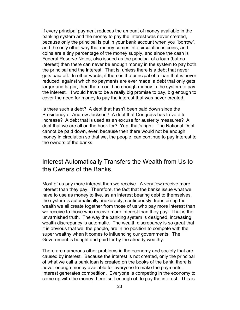If every principal payment reduces the amount of money available in the banking system and the money to pay the interest was never created, because only the principal is put in your bank account when you "borrow", and the only other way that money comes into circulation is coins, and coins are a tiny percentage of the money supply, and since the cash is Federal Reserve Notes, also issued as the principal of a loan (but no interest) then there can never be enough money in the system to pay both the principal and the interest. That is, unless there is a debt that never gets paid off. In other words, if there is the principal of a loan that is never reduced, against which no payments are ever made, a debt that only gets larger and larger, then there could be enough money in the system to pay the interest. It would have to be a really big promise to pay, big enough to cover the need for money to pay the interest that was never created.

Is there such a debt? A debt that hasn't been paid down since the Presidency of Andrew Jackson? A debt that Congress has to vote to increase? A debt that is used as an excuse for austerity measures? A debt that we are all on the hook for? Yup, that's right. The National Debt cannot be paid down, ever, because then there would not be enough money in circulation so that we, the people, can continue to pay interest to the owners of the banks.

#### <span id="page-22-0"></span>Interest Automatically Transfers the Wealth from Us to the Owners of the Banks.

Most of us pay more interest than we receive. A very few receive more interest than they pay. Therefore, the fact that the banks issue what we have to use as money to live, as an interest bearing debt to themselves, the system is automatically, inexorably, continuously, transferring the wealth we all create together from those of us who pay more interest than we receive to those who receive more interest than they pay. That is the unvarnished truth. The way the banking system is designed, increasing wealth discrepancy is automatic. The wealth discrepancy is so great that it is obvious that we, the people, are in no position to compete with the super wealthy when it comes to influencing our governments. The Government is bought and paid for by the already wealthy.

There are numerous other problems in the economy and society that are caused by interest. Because the interest is not created, only the principal of what we call a bank loan is created on the books of the bank, there is never enough money available for everyone to make the payments. Interest generates competition. Everyone is competing in the economy to come up with the money there isn't enough of, to pay the interest. This is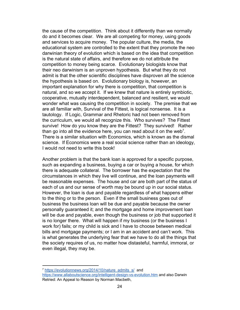the cause of the competition. Think about it differently than we normally do and it becomes clear. We are all competing for money, using goods and services to acquire money. The popular culture, the media, the educational system are controlled to the extent that they promote the neo darwinian theory of evolution which is based on the idea that competition is the natural state of affairs, and therefore we do not attribute the competition to money being scarce. Evolutionary biologists know that their neo darwinism is an unproven hypothesis. But what they do not admit is that the other scientific disciplines have disproven all the science the hypothesis is based on. Evolutionary biology is, however, an important explanation for why there is competition, that competition is natural, and so we accept it. If we knew that nature is entirely symbiotic, cooperative, mutually interdependent, balanced and resilient, we would wonder what was causing the competition in society. The premise that we are all familiar with, Survival of the Fittest, is logical nonsense. It is a tautology. If Logic, Grammar and Rhetoric had not been removed from the curriculum, we would all recognize this. Who survives? The Fittest survive! How do you know they are the Fittest? They survived! Rather than go into all the evidence here, you can read about it on the web<sup>7</sup>. There is a similar situation with Economics, which is known as the dismal science. If Economics were a real social science rather than an ideology, I would not need to write this book!

Another problem is that the bank loan is approved for a specific purpose, such as expanding a business, buying a car or buying a house, for which there is adequate collateral. The borrower has the expectation that the circumstances in which they live will continue, and the loan payments will be reasonable expenses. The house and car are both part of the status of each of us and our sense of worth may be bound up in our social status. However, the loan is due and payable regardless of what happens either to the thing or to the person. Even if the small business goes out of business the business loan will be due and payable because the owner personally guaranteed it; and the mortgage and home improvement loan will be due and payable, even though the business or job that supported it is no longer there. What will happen if my business (or the business I work for) fails; or my child is sick and I have to choose between medical bills and mortgage payments; or I am in an accident and can't work. This is what generates the underlying fear that we have to do all the things that the society requires of us, no matter how distasteful, harmful, immoral, or even illegal, they may be.

<sup>&</sup>lt;sup>7</sup> [https://evolutionnews.org/2014/10/nature\\_admits\\_s/](https://evolutionnews.org/2014/10/nature_admits_s/)\_and <https://www.allaboutscience.org/intelligent-design-vs-evolution.htm> and also Darwin Retried: An Appeal to Reason by Norman Macbeth,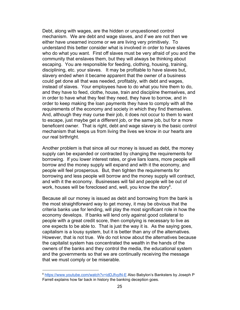Debt, along with wages, are the hidden or unquestioned control mechanism. We are debt and wage slaves, and if we are not then we either have unearned income or we are living very primitively. To understand this better consider what is involved in order to have slaves who do what you want. First off slaves must be very afraid of you and the community that enslaves them, but they will always be thinking about escaping. You are responsible for feeding, clothing, housing, training, disciplining, etc. your slaves. It may be profitable to have slaves but, slavery ended when it became apparent that the owner of a business could get done all that was needed, profitably, with debt and wages, instead of slaves. Your employees have to do what you hire them to do, and they have to feed, clothe, house, train and discipline themselves, and in order to have what they feel they need, they have to borrow, and in order to keep making the loan payments they have to comply with all the requirements of the economy and society in which they find themselves. And, although they may curse their job, it does not occur to them to want to escape, just maybe get a different job, or the same job, but for a more beneficent owner. That is right, debt and wage slavery is the basic control mechanism that keeps us from living the lives we know in our hearts are our real birthright.

Another problem is that since all our money is issued as debt, the money supply can be expanded or contracted by changing the requirements for borrowing. If you lower interest rates, or give liars loans, more people will borrow and the money supply will expand and with it the economy, and people will feel prosperous. But, then tighten the requirements for borrowing and less people will borrow and the money supply will contract, and with it the economy. Businesses will fail and people will be out of work, houses will be foreclosed and, well, you know the story $8$ .

Because all our money is issued as debt and borrowing from the bank is the most straightforward way to get money, it may be obvious that the criteria banks use for lending, will play the most significant role in how the economy develops. If banks will lend only against good collateral to people with a great credit score, then complying is necessary to live as one expects to be able to. That is just the way it is. As the saying goes, capitalism is a lousy system, but it is better than any of the alternatives. However, that is not true. We do not know about the alternatives because the capitalist system has concentrated the wealth in the hands of the owners of the banks and they control the media, the educational system and the governments so that we are continually receiving the message that we must comply or be miserable.

<sup>8</sup> <https://www.youtube.com/watch?v=idDJfvylN-E> Also Babylon's Banksters by Joseph P Farrell explains how far back in history the banking deception goes.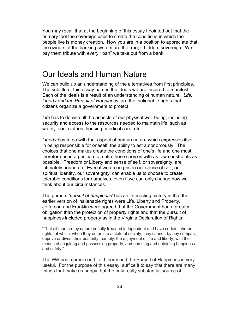You may recall that at the beginning of this essay I pointed out that the primary tool the sovereign uses to create the conditions in which the people live is money creation. Now you are in a position to appreciate that the owners of the banking system are the true, if hidden, sovereign. We pay them tribute with every "loan" we take out from a bank.

### <span id="page-25-0"></span>Our Ideals and Human Nature

We can build up an understanding of the alternatives from first principles. The subtitle of this essay names the ideals we are inspired to manifest. Each of the ideals is a result of an understanding of human nature. *Life, Liberty and the Pursuit of Happiness*, are the inalienable rights that citizens organize a government to protect.

*Life* has to do with all the aspects of our physical well-being, including security and access to the resources needed to maintain life, such as water, food, clothes, housing, medical care, etc.

*Liberty* has to do with that aspect of human nature which expresses itself in being responsible for oneself, the ability to act autonomously. The choices that one makes create the conditions of one's life and one must therefore be in a position to make those choices with as few constraints as possible. Freedom or Liberty and sense of self, or sovereignty, are intimately bound up. Even if we are in prison our sense of self, our spiritual identity, our sovereignty, can enable us to choose to create tolerable conditions for ourselves, even if we can only change how we think about our circumstances.

The phrase, *'pursuit of happiness*' has an interesting history in that the earlier version of inalienable rights were Life, Liberty and Property. Jefferson and Franklin were agreed that the Government had a greater obligation than the protection of property rights and that the pursuit of happiness included property as in the Virginia Declaration of Rights:

"That all men are by nature equally free and independent and have certain inherent rights, of which, when they enter into a state of society, they cannot, by any compact, deprive or divest their posterity; namely, the enjoyment of life and liberty, with the means of acquiring and possessing property, and pursuing and obtaining happiness and safety."

The Wikipedia article on Life, Liberty and the Pursuit of Happiness is very useful. For the purpose of this essay, suffice it to say that there are many things that make us happy, but the only really substantial source of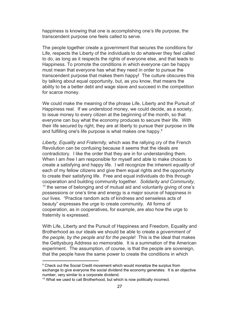happiness is knowing that one is accomplishing one's life purpose, the transcendent purpose one feels called to serve.

The people together create a government that secures the conditions for Life, respects the Liberty of the individuals to do whatever they feel called to do, as long as it respects the rights of everyone else, and that leads to Happiness. To promote the conditions in which everyone can be happy must mean that everyone has what they need in order to pursue the transcendent purpose that makes them happy! The culture obscures this by talking about equal opportunity, but, as you know, that means the ability to be a better debt and wage slave and succeed in the competition for scarce money.

We could make the meaning of the phrase Life, Liberty and the Pursuit of Happiness real. If we understood money, we could decide, as a society, to issue money to every citizen at the beginning of the month, so that everyone can buy what the economy produces to secure their life. With their life secured by right, they are at liberty to pursue their purpose in life and fulfilling one's life purpose is what makes one happy.<sup>9</sup>

*Liberty, Equality and Fraternity,* which was the rallying cry of the French Revolution can be confusing because it seems that the ideals are contradictory. I like the order that they are in for understanding them. When I am *free* I am responsible for myself and able to make choices to create a satisfying and happy life. I will recognize the inherent *equality* of each of my fellow citizens and give them equal rights and the opportunity to create their satisfying life. Free and equal individuals do this through cooperation and building community together. *Solidarity and Community,*  $10$ <sup>10</sup> the sense of belonging and of mutual aid and voluntarily giving of one's possessions or one's time and energy is a major source of happiness in our lives. "Practice random acts of kindness and senseless acts of beauty" expresses the urge to create community. All forms of cooperation, as in cooperatives, for example, are also how the urge to fraternity is expressed.

With Life, Liberty and the Pursuit of Happiness and Freedom, Equality and Brotherhood as our ideals we should be able to create a *government of the people, by the people and for the people*! This is the ideal that makes the Gettysburg Address so memorable. It is a summation of the American experiment. The assumption, of course, is that the people are sovereign, that the people have the same power to create the conditions in which

<sup>&</sup>lt;sup>9</sup> Check out the Social Credit movement which would monetize the surplus from exchange to give everyone the social dividend the economy generates. It is an objective number, very similar to a corporate dividend.

<sup>&</sup>lt;sup>10</sup> What we used to call Brotherhood, but which is now politically incorrect.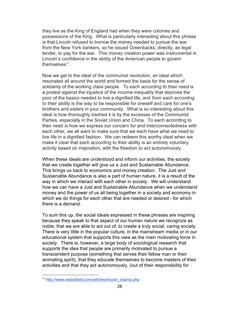they live as the King of England had when they were colonies and possessions of the King. What is particularly interesting about this phrase is that Lincoln refused to borrow the money needed to pursue the war from the New York bankers, so he issued Greenbacks, directly, as legal tender, to pay for the war. This money creation power was instrumental in Lincoln's confidence in the ability of the American people to govern themselves $11$ .

Now we get to the ideal of the communist revolution, an ideal which resonated all around the world and formed the basis for the sense of solidarity of the working class people. *To each according to their need* is a protest against the injustice of the income inequality that deprives the poor of the basics needed to live a dignified life, and *from each according to their ability* is the way to be responsible for oneself and care for one's brothers and sisters in your community. What is so interesting about this ideal is how thoroughly trashed it is by the excesses of the Communist Parties, especially in the Soviet Union and China. To each according to their need is how we express our concern for and interconnectedness with each other, we all want to make sure that we each have what we need to live life in a dignified fashion. We can redeem this worthy ideal when we make it clear that each according to their ability is an entirely voluntary activity based on inspiration, with the freedom to act autonomously.

When these ideals are understood and inform our activities, the society that we create together will give us a Just and Sustainable Abundance. This brings us back to economics and money creation. The Just and Sustainable Abundance is also a part of human nature, it is a result of the way in which we interact with each other in society. We will understand how we can have a Just and Sustainable Abundance when we understand money and the power of us all being together in a society and economy in which we do things for each other that are needed or desired - for which there is a demand.

To sum this up, the social ideals expressed in these phrases are inspiring because they speak to that aspect of our human nature we recognize as noble, that we are able to act out of, to create a truly social, caring society. There is very little in the popular culture, in the mainstream media or in our educational system that supports this view as the main motivating force in society. There is, however, a large body of sociological research that supports the idea that people are primarily motivated to pursue a transcendent purpose (something that serves their fellow man or their animating spirit), that they educate themselves to become masters of their activities and that they act autonomously, (out of their responsibility for

<sup>11</sup> [http://www.webofdebt.com/articles/lincoln\\_obama.php](http://www.webofdebt.com/articles/lincoln_obama.php)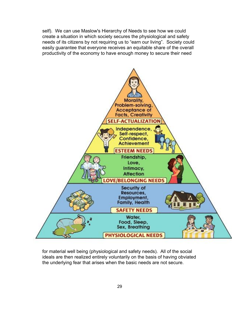self). We can use Maslow's Hierarchy of Needs to see how we could create a situation in which society secures the physiological and safety needs of its citizens by not requiring us to "earn our living". Society could easily guarantee that everyone receives an equitable share of the overall productivity of the economy to have enough money to secure their need



for material well being (physiological and safety needs). All of the social ideals are then realized entirely voluntarily on the basis of having obviated the underlying fear that arises when the basic needs are not secure.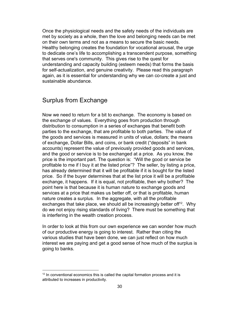Once the physiological needs and the safety needs of the individuals are met by society as a whole, then the love and belonging needs can be met on their own terms and not as a means to secure the basic needs. Healthy belonging creates the foundation for vocational arousal, the urge to dedicate one's life to accomplishing a transcendent purpose, something that serves one's community. This gives rise to the quest for understanding and capacity building (esteem needs) that forms the basis for self-actualization, and genuine creativity. Please read this paragraph again, as it is essential for understanding why we can co-create a just and sustainable abundance.

#### <span id="page-29-0"></span>Surplus from Exchange

Now we need to return for a bit to exchange. The economy is based on the exchange of values. Everything goes from production through distribution to consumption in a series of exchanges that benefit both parties to the exchange, that are profitable to both parties. The value of the goods and services is measured in units of value, dollars; the means of exchange, Dollar Bills, and coins, or bank credit ("deposits" in bank accounts) represent the value of previously provided goods and services, and the good or service is to be exchanged at a price. As you know, the price is the important part. The question is: "Will the good or service be profitable to me if I buy it at the listed price"? The seller, by listing a price, has already determined that it will be profitable if it is bought for the listed price. So if the buyer determines that at the list price it will be a profitable exchange, it happens. If it is equal, not profitable, then why bother? The point here is that because it is human nature to exchange goods and services at a price that makes us better off, or that is profitable, human nature creates a surplus. In the aggregate, with all the profitable exchanges that take place, we should all be increasingly better of  $f^2$ . Why do we not enjoy rising standards of living? There must be something that is interfering in the wealth creation process.

In order to look at this from our own experience we can wonder how much of our productive energy is going to interest. Rather than citing the various studies that have been done, we can just reflect on how much interest we are paying and get a good sense of how much of the surplus is going to banks.

 $12$  In conventional economics this is called the capital formation process and it is attributed to increases in productivity.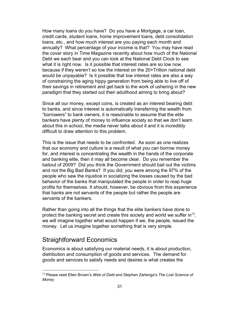How many loans do you have? Do you have a Mortgage, a car loan, credit cards, student loans, home improvement loans, debt consolidation loans, etc., and how much interest are you paying each month and annually? What percentage of your income is that? You may have read the cover story in Time Magazine recently about how much of the National Debt we each bear and you can look at the National Debt Clock to see what it is right now. Is it possible that interest rates are so low now because if they weren't so low the interest on the 20+Trillion national debt would be unpayable? Is it possible that low interest rates are also a way of constraining the aging hippy generation from being able to live off of their savings in retirement and get back to the work of ushering in the new paradigm that they started out their adulthood aiming to bring about?

Since all our money, except coins, is created as an interest bearing debt to banks, and since interest is automatically transferring the wealth from "borrowers" to bank owners, it is reasonable to assume that the elite bankers have plenty of money to influence society so that we don't learn about this in school, the media never talks about it and it is incredibly difficult to draw attention to this problem.

This is the issue that needs to be confronted. As soon as one realizes that our economy and culture is a result of what you can borrow money for, and interest is concentrating the wealth in the hands of the corporate and banking elite, then it may all become clear. Do you remember the bailout of 2009? Did you think the Government should bail out the victims and not the Big Bad Banks? If you did, you were among the 97% of the people who saw the injustice in socializing the losses caused by the bad behavior of the banks that manipulated the people in order to reap huge profits for themselves. It should, however, be obvious from this experience that banks are not servants of the people but rather the people are servants of the bankers.

Rather than going into all the things that the elite bankers have done to protect the banking secret and create this society and world we suffer in<sup>13</sup>, we will imagine together what would happen if we, the people, issued the money. Let us imagine together something that is very simple.

#### <span id="page-30-0"></span>Straightforward Economics

Economics is about satisfying our material needs, it is about production, distribution and consumption of goods and services. The demand for goods and services to satisfy needs and desires is what creates the

<sup>13</sup> Please read Ellen Brown's *Web of Debt* and Stephen Zarlenga's *The Lost Science of Money*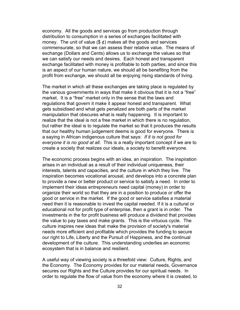economy. All the goods and services go from production through distribution to consumption in a series of exchanges facilitated with money. The unit of value  $(\frac{1}{2}, \frac{1}{2})$  makes all the goods and services commensurate, so that we can assess their relative value. The means of exchange (Dollars and Cents) allows us to exchange the values so that we can satisfy our needs and desires. Each honest and transparent exchange facilitated with money is profitable to both parties, and since this is an aspect of our human nature, we should all be benefiting from the profit from exchange, we should all be enjoying rising standards of living.

The market in which all these exchanges are taking place is regulated by the various governments in ways that make it obvious that it is not a "free" market. It is a "free" market only in the sense that the laws and regulations that govern it make it appear honest and transparent. What gets subsidised and what gets penalized are both parts of the market manipulation that obscures what is really happening. It is important to realize that the ideal is not a free market in which there is no regulation, but rather the ideal is to regulate the market so that it produces the results that our healthy human judgement deems is good for everyone. There is a saying in African indigenous culture that says: *If it is not good for everyone it is no good at all*. This is a really important concept if we are to create a society that realizes our ideals, a society to benefit everyone.

The economic process begins with an idea, an inspiration. The inspiration arises in an individual as a result of their individual uniqueness, their interests, talents and capacities, and the culture in which they live. The inspiration becomes vocational arousal, and develops into a concrete plan to provide a new or better product or service to satisfy a need. In order to implement their ideas entrepreneurs need capital (money) in order to organize their world so that they are in a position to produce or offer the good or service in the market. If the good or service satisfies a material need then it is reasonable to invest the capital needed. If it is a cultural or educational not for profit type of enterprise, then a grant is in order. The investments in the for profit business will produce a dividend that provides the value to pay taxes and make grants. This is the virtuous cycle. The culture inspires new ideas that make the provision of society's material needs more efficient and profitable which provides the funding to secure our right to Life, Liberty and the Pursuit of Happiness, and the continual development of the culture. This understanding underlies an economic ecosystem that is in balance and resilient.

A useful way of viewing society is a threefold view: Culture, Rights, and the Economy. The Economy provides for our material needs, Governance secures our Rights and the Culture provides for our spiritual needs. In order to regulate the flow of value from the economy where it is created, to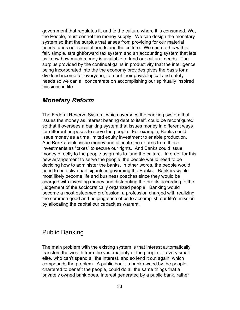government that regulates it, and to the culture where it is consumed, We, the People, must control the money supply. We can design the monetary system so that the surplus that arises from providing for our material needs funds our societal needs and the culture. We can do this with a fair, simple, straightforward tax system and an accounting system that lets us know how much money is available to fund our cultural needs. The surplus provided by the continual gains in productivity that the intelligence being incorporated into the the economy provides gives the basis for a dividend income for everyone, to meet their physiological and safety needs so we can all concentrate on accomplishing our spiritually inspired missions in life.

#### <span id="page-32-0"></span>*Monetary Reform*

The Federal Reserve System, which oversees the banking system that issues the money as interest bearing debt to itself, could be reconfigured so that it oversees a banking system that issues money in different ways for different purposes to serve the people. For example, Banks could issue money as a time limited equity investment to enable production. And Banks could issue money and allocate the returns from those investments as "taxes" to secure our rights. And Banks could issue money directly to the people as grants to fund the culture. In order for this new arrangement to serve the people, the people would need to be deciding how to administer the banks. In other words, the people would need to be active participants in governing the Banks. Bankers would most likely become life and business coaches since they would be charged with investing money and distributing the profits according to the judgement of the sociocratically organized people. Banking would become a most esteemed profession, a profession charged with realizing the common good and helping each of us to accomplish our life's mission by allocating the capital our capacities warrant.

#### <span id="page-32-1"></span>Public Banking

The main problem with the existing system is that interest automatically transfers the wealth from the vast majority of the people to a very small elite, who can't spend all the interest, and so lend it out again, which compounds the problem. A public bank, a bank owned by the people, chartered to benefit the people, could do all the same things that a privately owned bank does. Interest generated by a public bank, rather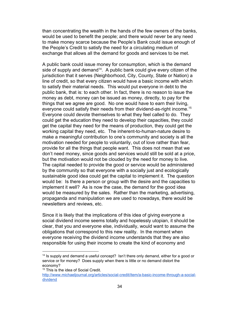than concentrating the wealth in the hands of the few owners of the banks, would be used to benefit the people; and there would never be any need to make money scarce because the People's Bank could issue enough of the People's Credit to satisfy the need for a circulating medium of exchange that allows all the demand for goods and services to be met.

A public bank could issue money for consumption, which is the demand side of supply and demand<sup>14</sup>. A public bank could give every citizen of the jurisdiction that it serves (Neighborhood, City, County, State or Nation) a line of credit, so that every citizen would have a basic income with which to satisfy their material needs. This would put everyone in debt to the public bank, that is: to each other. In fact, there is no reason to issue the money as debt, money can be issued as money, directly, to pay for the things that we agree are good. No one would have to earn their living, everyone could satisfy their needs from their dividend-as-right income.<sup>15</sup> Everyone could devote themselves to what they feel called to do. They could get the education they need to develop their capacities, they could get the capital they need for the means of production, they could get the working capital they need, etc. The inherent-to-human-nature desire to make a meaningful contribution to one's community and society is all the motivation needed for people to voluntarily, out of love rather than fear, provide for all the things that people want. This does not mean that we don't need money, since goods and services would still be sold at a price, but the motivation would not be clouded by the need for money to live. The capital needed to provide the good or service would be administered by the community so that everyone with a socially just and ecologically sustainable good idea could get the capital to implement it. The question would be: Is there a person or group with the desire and the capacities to implement it well? As is now the case, the demand for the good idea would be measured by the sales. Rather than the marketing, advertising, propaganda and manipulation we are used to nowadays, there would be newsletters and reviews, etc.

Since it is likely that the implications of this idea of giving everyone a social dividend income seems totally and hopelessly utopian, it should be clear, that you and everyone else, individually, would want to assume the obligations that correspond to this new reality. In the moment when everyone receiving the dividend income understands that they are also responsible for using their income to create the kind of economy and

 $14$  Is supply and demand a useful concept? Isn't there only demand, either for a good or service or for money? Does supply when there is little or no demand distort the economy?

<sup>&</sup>lt;sup>15</sup> This is the idea of Social Credit.

[http://www.michaeljournal.org/articles/social-credit/item/a-basic-income-through-a-social](http://www.michaeljournal.org/articles/social-credit/item/a-basic-income-through-a-social-dividend)[dividend](http://www.michaeljournal.org/articles/social-credit/item/a-basic-income-through-a-social-dividend)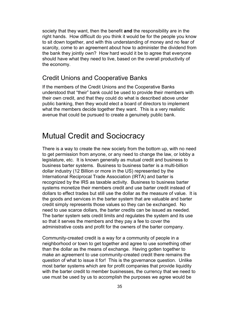society that they want, then the benefit **and** the responsibility are in the right hands. How difficult do you think it would be for the people you know to sit down together, and with this understanding of money and no fear of scarcity, come to an agreement about how to administer the dividend from the bank they jointly own? How hard would it be to agree that everyone should have what they need to live, based on the overall productivity of the economy.

#### <span id="page-34-0"></span>Credit Unions and Cooperative Banks

If the members of the Credit Unions and the Cooperative Banks understood that "their" bank could be used to provide their members with their own credit, and that they could do what is described above under public banking, then they would elect a board of directors to implement what the members decide together they want. This is a very realistic avenue that could be pursued to create a genuinely public bank.

## <span id="page-34-1"></span>Mutual Credit and Sociocracy

There is a way to create the new society from the bottom up, with no need to get permission from anyone, or any need to change the law, or lobby a legislature, etc. It is known generally as mutual credit and business to business barter systems. Business to business barter is a multi-billion dollar industry (12 Billion or more in the US) represented by the International Reciprocal Trade Association (IRTA) and barter is recognized by the IRS as taxable activity. Business to business barter systems monetize their members credit and use barter credit instead of dollars to effect trades but still use the dollar as the measure of value. It is the goods and services in the barter system that are valuable and barter credit simply represents those values so they can be exchanged. No need to use scarce dollars, the barter credits can be issued as needed. The barter system sets credit limits and regulates the system and its use so that it serves the members and they pay a fee to cover the administrative costs and profit for the owners of the barter company.

Community-created credit is a way for a community of people in a neighborhood or town to get together and agree to use something other than the dollar as the means of exchange. Having gotten together to make an agreement to use community-created credit there remains the question of what to issue it for! This is the governance question. Unlike most barter systems which are for profit companies that provide liquidity with the barter credit to member businesses, the currency that we need to use must be used by us to accomplish the purposes we agree would be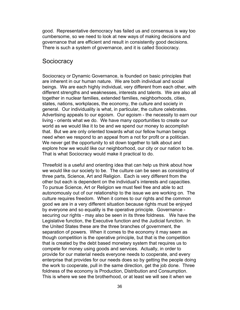good. Representative democracy has failed us and consensus is way too cumbersome, so we need to look at new ways of making decisions and governance that are efficient and result in consistently good decisions. There is such a system of governance, and it is called Sociocracy.

#### <span id="page-35-0"></span>**Sociocracy**

Sociocracy or Dynamic Governance, is founded on basic principles that are inherent in our human nature. We are both individual and social beings. We are each highly individual, very different from each other, with different strengths and weaknesses, interests and talents. We are also all together in nuclear families, extended families, neighborhoods, cities, states, nations, workplaces, the economy, the culture and society in general. Our individuality is what, in particular, the culture celebrates. Advertising appeals to our egoism. Our egoism - the necessity to earn our living - orients what we do. We have many opportunities to create our world as we would like it to be and we spend our money to accomplish that. But we are only oriented towards what our fellow human beings need when we respond to an appeal from a not for profit or a politician. We never get the opportunity to sit down together to talk about and explore how we would like our neighborhood, our city or our nation to be. That is what Sociocracy would make it practical to do.

Threefold is a useful and orienting idea that can help us think about how we would like our society to be. The culture can be seen as consisting of three parts, Science, Art and Religion. Each is very different from the other but each is dependent on the individual's interests and capacities. To pursue Science, Art or Religion we must feel free and able to act autonomously out of our relationship to the issue we are working on. The culture requires freedom. When it comes to our rights and the common good we are in a very different situation because rights must be enjoyed by everyone and so equality is the operative principle. Governance securing our rights - may also be seen in its three foldness. We have the Legislative function, the Executive function and the Judicial function. In the United States these are the three branches of government, the separation of powers. When it comes to the economy it may seem as though competition is the operative principle, but that is the competition that is created by the debt based monetary system that requires us to compete for money using goods and services. Actually, in order to provide for our material needs everyone needs to cooperate, and every enterprise that provides for our needs does so by getting the people doing the work to cooperate, pull in the same direction, get the job done. Three foldness of the economy is Production, Distribution and Consumption. This is where we see the brotherhood, or at least we will see it when we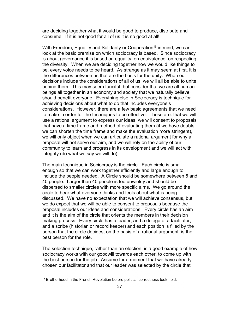are deciding together what it would be good to produce, distribute and consume. If it is not good for all of us it is no good at all!

With Freedom, Equality and Solidarity or Cooperation<sup>16</sup> in mind, we can look at the basic premise on which sociocracy is based. Since sociocracy is about governance it is based on equality, on equivalence, on respecting the diversity. When we are deciding together how we would like things to be, every voice needs to be heard. As strange as it may seem at first, it is the differences between us that are the basis for the unity. When our decisions include the considerations of all of us, we will all be able to unite behind them. This may seem fanciful, but consider that we are all human beings all together in an economy and society that we naturally believe should benefit everyone. Everything else in Sociocracy is technique for achieving decisions about what to do that includes everyone's considerations. However, there are a few basic agreements that we need to make in order for the techniques to be effective. These are: that we will use a rational argument to express our ideas, we will consent to proposals that have a time frame and method of evaluating them (if we have doubts we can shorten the time frame and make the evaluation more stringent), we will only object when we can articulate a rational argument for why a proposal will not serve our aim, and we will rely on the ability of our community to learn and progress in its development and we will act with integrity (do what we say we will do).

The main technique in Sociocracy is the circle. Each circle is small enough so that we can work together efficiently and large enough to include the people needed. A Circle should be somewhere between 5 and 40 people. Larger than 40 people is too unwieldy and should be dispersed to smaller circles with more specific aims. We go around the circle to hear what everyone thinks and feels about what is being discussed. We have no expectation that we will achieve consensus, but we do expect that we will be able to consent to proposals because the proposal includes our ideas and considerations. Every circle has an aim and it is the aim of the circle that orients the members in their decision making process. Every circle has a leader, and a delegate, a facilitator, and a scribe (historian or record keeper) and each position is filled by the person that the circle decides, on the basis of a rational argument, is the best person for the role.

The selection technique, rather than an election, is a good example of how sociocracy works with our goodwill towards each other, to come up with the best person for the job. Assume for a moment that we have already chosen our facilitator and that our leader was selected by the circle that

<sup>&</sup>lt;sup>16</sup> Brotherhood in the French Revolution before political correctness took hold.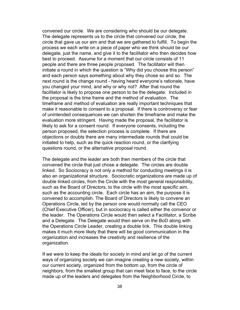convened our circle. We are considering who should be our delegate. The delegate represents us to the circle that convened our circle, the circle that gave us our aim and that we are gathered to fulfill. To begin the process we each write on a piece of paper who we think should be our delegate, just the name, and give it to the facilitator who then decides how best to proceed. Assume for a moment that our circle consists of 11 people and there are three people proposed. The facilitator will then initiate a round in which the question is "Why did you choose this person" and each person says something about why they chose so and so. The next round is the change round - having heard everyone's rationale, have you changed your mind, and why or why not? After that round the facilitator is likely to propose one person to be the delegate. Included in the proposal is the time frame and the method of evaluation. The timeframe and method of evaluation are really important techniques that make it reasonable to consent to a proposal. If there is controversy or fear of unintended consequences we can shorten the timeframe and make the evaluation more stringent. Having made the proposal, the facilitator is likely to ask for a consent round. If everyone consents, including the person proposed, the selection process is complete. If there are objections or doubts there are many intermediate rounds that could be initiated to help, such as the quick reaction round, or the clarifying questions round, or the alternative proposal round.

The delegate and the leader are both then members of the circle that convened the circle that just chose a delegate. The circles are double linked. So Sociocracy is not only a method for conducting meetings it is also an organizational structure. Sociocratic organizations are made up of double linked circles, from the Circle with the most general responsibility, such as the Board of Directors, to the circle with the most specific aim, such as the accounting circle. Each circle has an aim, the purpose it is convened to accomplish. The Board of Directors is likely to convene an Operations Circle, led by the person one would normally call the CEO (Chief Executive Officer), but in sociocracy is called either the convenor or the leader. The Operations Circle would then select a Facilitator, a Scribe and a Delegate. The Delegate would then serve on the BoD along with the Operations Circle Leader, creating a double link. This double linking makes it much more likely that there will be good communication in the organization and increases the creativity and resilience of the organization.

If we were to keep the ideals for society in mind and let go of the current ways of organizing society we can imagine creating a new society, within our current society, organized from the bottom up, from the circle of neighbors, from the smallest group that can meet face to face, to the circle made up of the leaders and delegates from the Neighborhood Circle, to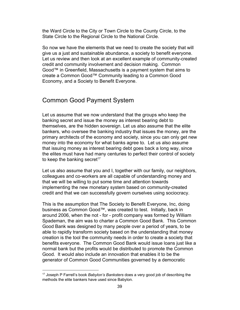the Ward Circle to the City or Town Circle to the County Circle, to the State Circle to the Regional Circle to the National Circle.

So now we have the elements that we need to create the society that will give us a just and sustainable abundance, a society to benefit everyone. Let us review and then look at an excellent example of community-created credit and community involvement and decision making. Common Good™ in Greenfield, Massachusetts is a payment system that aims to create a Common Good™ Community leading to a Common Good Economy, and a Society to Benefit Everyone.

#### <span id="page-38-0"></span>Common Good Payment System

Let us assume that we now understand that the groups who keep the banking secret and issue the money as interest bearing debt to themselves, are the hidden sovereign. Let us also assume that the elite bankers, who oversee the banking industry that issues the money, are the primary architects of the economy and society, since you can only get new money into the economy for what banks agree to. Let us also assume that issuing money as interest bearing debt goes back a long way, since the elites must have had many centuries to perfect their control of society to keep the banking secret<sup>17</sup>

Let us also assume that you and I, together with our family, our neighbors, colleagues and co-workers are all capable of understanding money and that we will be willing to put some time and attention towards implementing the new monetary system based on community-created credit and that we can successfully govern ourselves using sociocracy.

This is the assumption that The Society to Benefit Everyone, Inc, doing business as Common Good™, was created to test. Initially, back in around 2006, when the not - for - profit company was formed by William Spademan, the aim was to charter a Common Good Bank. This Common Good Bank was designed by many people over a period of years, to be able to rapidly transform society based on the understanding that money creation is the tool the community needs in order to create a society that benefits everyone. The Common Good Bank would issue loans just like a normal bank but the profits would be distributed to promote the Common Good. It would also include an innovation that enables it to be the generator of Common Good Communities governed by a democratic

<sup>17</sup> Joseph P Farrell's book *Babylon's Banksters* does a very good job of describing the methods the elite bankers have used since Babylon.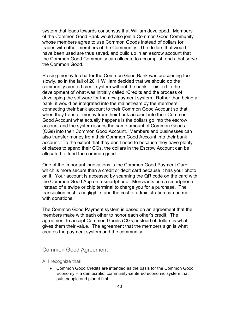system that leads towards consensus that William developed. Members of the Common Good Bank would also join a Common Good Community whose members agree to use Common Goods instead of dollars for trades with other members of the Community. The dollars that would have been used are thus saved, and build up in an escrow account that the Common Good Community can allocate to accomplish ends that serve the Common Good.

Raising money to charter the Common Good Bank was proceeding too slowly, so in the fall of 2011 William decided that we should do the community created credit system without the bank. This led to the development of what was initially called rCredits and the process of developing the software for the new payment system. Rather than being a bank, it would be integrated into the mainstream by the members connecting their bank account to their Common Good Account so that when they transfer money from their bank account into their Common Good Account what actually happens is the dollars go into the escrow account and the system issues the same amount of Common Goods (CGs) into their Common Good Account. Members and businesses can also transfer money from their Common Good Account into their bank account. To the extent that they don't need to because they have plenty of places to spend their CGs, the dollars in the Escrow Account can be allocated to fund the common good.

One of the important innovations is the Common Good Payment Card, which is more secure than a credit or debit card because it has your photo on it. Your account is accessed by scanning the QR code on the card with the Common Good App on a smartphone. Merchants use a smartphone instead of a swipe or chip terminal to charge you for a purchase. The transaction cost is negligible, and the cost of administration can be met with donations.

The Common Good Payment system is based on an agreement that the members make with each other to honor each other's credit. The agreement to accept Common Goods (CGs) instead of dollars is what gives them their value. The agreement that the members sign is what creates the payment system and the community.

#### <span id="page-39-0"></span>Common Good Agreement

<span id="page-39-1"></span>A. I recognize that:

● Common Good Credits are intended as the basis for the Common Good Economy -- a democratic, community-centered economic system that puts people and planet first.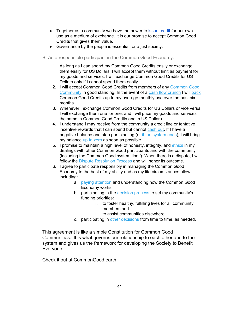- Together as a community we have the power to issue [credit](https://new.rcredits.org/help/issuing-rcredits) for our own use as a medium of exchange. It is our promise to accept Common Good Credits that gives them value.
- Governance by the people is essential for a just society.
- <span id="page-40-0"></span>B. As a responsible participant in the Common Good Economy:
	- 1. As long as I can spend my Common Good Credits easily or exchange them easily for US Dollars, I will accept them without limit as payment for my goods and services. I will exchange Common Good Credits for US Dollars only if I cannot spend them easily.
	- 2. I will accept [Common](https://new.rcredits.org/help/common-good-community) Good Credits from members of any Common Good [Community](https://new.rcredits.org/help/common-good-community) in good standing. In the event of a cash flow [crunch](https://new.rcredits.org/help/cashflow-crunch) I will [back](https://new.rcredits.org/help/backing-rcredits) Common Good Credits up to my average monthly use over the past six months.
	- 3. Whenever I exchange Common Good Credits for US Dollars or vice versa, I will exchange them one for one, and I will price my goods and services the same in Common Good Credits and in US Dollars.
	- 4. I understand I may receive from the community a credit line or tentative incentive rewards that I can spend but cannot [cash](https://new.rcredits.org/help/cashing-out) out. If I have a negative balance and stop participating (or if the [system](https://new.rcredits.org/help/graceful-failure) ends), I will bring my balance up to [zero](https://new.rcredits.org/help/graceful-failure) as soon as possible.
	- 5. I promise to maintain a high level of honesty, integrity, and [ethics](https://new.rcredits.org/help/ethics) in my dealings with other Common Good participants and with the community (including the Common Good system itself). When there is a dispute, I will follow the Dispute [Resolution](https://new.rcredits.org/help/dispute-resolution-process) Process and will honor its outcome.
	- 6. I agree to participate responsibly in managing the Common Good Economy to the best of my ability and as my life circumstances allow, including:
		- a. paying [attention](https://new.rcredits.org/help/paying-attention) and understanding how the Common Good Economy works
		- b. participating in the [decision](https://new.rcredits.org/help/decision-principles) process to set my community's funding priorities:
			- i. to foster healthy, fulfilling lives for all community members and
			- ii. to assist communities elsewhere
		- c. participating in other [decisions](https://new.rcredits.org/help/other-decisions) from time to time, as needed.

This agreement is like a simple Constitution for Common Good Communities. It is what governs our relationship to each other and to the system and gives us the framework for developing the Society to Benefit Everyone.

Check it out at CommonGood.earth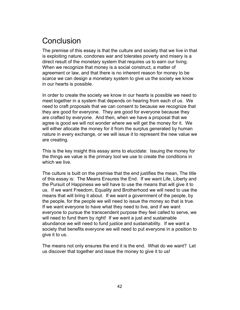# <span id="page-41-0"></span>Conclusion

The premise of this essay is that the culture and society that we live in that is exploiting nature, condones war and tolerates poverty and misery is a direct result of the monetary system that requires us to earn our living. When we recognize that money is a social construct, a matter of agreement or law, and that there is no inherent reason for money to be scarce we can design a monetary system to give us the society we know in our hearts is possible.

In order to create the society we know in our hearts is possible we need to meet together in a system that depends on hearing from each of us. We need to craft proposals that we can consent to because we recognize that they are good for everyone. They are good for everyone because they are crafted by everyone. And then, when we have a proposal that we agree is good we will not wonder where we will get the money for it. We will either allocate the money for it from the surplus generated by human nature in every exchange, or we will issue it to represent the new value we are creating.

This is the key insight this essay aims to elucidate: Issuing the money for the things we value is the primary tool we use to create the conditions in which we live.

The culture is built on the premise that the end justifies the mean, The title of this essay is: The Means Ensures the End. If we want Life, Liberty and the Pursuit of Happiness we will have to use the means that will give it to us. If we want Freedom, Equality and Brotherhood we will need to use the means that will bring it about. If we want a government of the people, by the people, for the people we will need to issue the money so that is true. If we want everyone to have what they need to live, and if we want everyone to pursue the transcendent purpose they feel called to serve, we will need to fund them by right! If we want a just and sustainable abundance we will need to fund justice and sustainability. If we want a society that benefits everyone we will need to put everyone in a position to give it to us.

The means not only ensures the end it is the end. What do we want? Let us discover that together and issue the money to give it to us!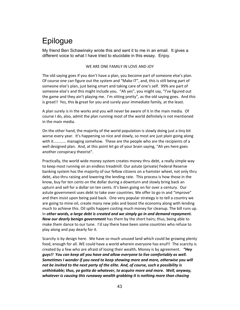# <span id="page-42-0"></span>Epilogue

My friend Ben Schawinsky wrote this and sent it to me in an email. It gives a different voice to what I have tried to elucidate in this essay. Enjoy.

#### WE ARE ONE FAMILY IN LOVE AND JOY

The old saying goes if you don't have a plan, you become part of someone else's plan. Of course one can figure out the system and "Make IT", and, this is still being part of someone else's plan, just being smart and taking care of one's self. 99% are part of someone else's and this might include you. "Ah yes", you might say, "I've figured out the game and they ain't playing me. I'm sitting pretty", as the old saying goes. And this is great!! Yes, this **is** great for you and surely your immediate family, at the least.

A plan surely is in the works and you will never be aware of it in the main media. Of course I do, also, admit the plan running most of the world definitely is not mentioned in the main media.

On the other hand, the majority of the world population is slowly doing just a tiny bit worse every year. It's happening so nice and slowly, so most are just plain going along with it………. managing somehow. These are the people who are the recipients of a well designed plan. And, at this point let go of your brain saying, "Ah yes here goes another conspiracy theorist".

Practically, the world wide money system creates money thru debt, a really simple way to keep most running on an endless treadmill. Our astute (private) Federal Reserve banking system has the majority of our fellow citizens on a hamster wheel, not only thru debt, also thru raising and lowering the lending rate. This process is how those in the know, buy for ten cents on the dollar during a downturn and slowly bring back an upturn and sell for a dollar on ten cents. It's been going on for over a century. Our astute government uses debt to take over countries. We offer to go in and "improve" and then insist upon being paid back. One very popular strategy is to tell a country we are going to mine oil, create many new jobs and boost the economy along with lending much to achieve this. Oil spills happen costing much money for cleanup. The bill runs up. In *other words, a large debt is created and we simply go in and demand repayment. Now our dearly benign government* has them by the short hairs; thus, being able to make them dance to our tune. I'd say there have been some countries who refuse to play along and pay dearly for it.

Scarcity is by design here. We have so much unused land which could be growing plenty food, enough for all. WE could have a world wherein everyone has enuf!! The scarcity is created by a few who are afraid of losing their wealth*.* Money is by agreement. *"Hey guys!! You can keep all you have and allow everyone to live comfortably as well. Sometimes I wonder if you need to keep showing more and more, otherwise you will not be invited to the next party of the elite. And, of course, such a possibility is unthinkable; thus, ya gotta do whatever, to acquire more and more. Well, anyway, whatever is causing this runaway wealth grabbing it is nothing more than chasing*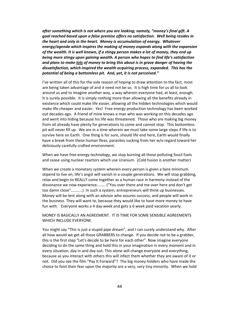*after something which is not where you are looking; namely, "money's final gift. A goal reached based upon a false premise offers no satisfaction. Well being resides in the heart and only in the heart. Money is accumulation of energy. Whatever energy/agenda which inspires the making of money expands along with the expansion of the wealth. It is well known, if a stingy person makes a lot of money, they end up being more stingy upon gaining wealth. A person who hopes to find life's satisfaction and plans to make lots of money to bring this about is in grave danger of having the dissatisfaction, which inspired the wealth acquiring process, expanded. This has the potential of being a bottomless pit. And, yet, it is not perceived."*

I've written all of this for the sole reason of hoping to draw attention to the fact, most are being taken advantage of and it need not be so. It is high time for us all to look around us and to imagine another way, a way wherein everyone had, at least, enough. It is surely possible. It is simply nothing more than allowing all the benefits already in existence which could make life easier, allowing all the hidden technologies which would make life cheaper and easier. Yes! Free energy production technology has been worked out decades ago. A friend of mine knows a man who was working on this decades ago and went into hiding because his life was threatened. Those who are making big money from oil already have plenty for generations to come and cannot stop. This bottomless pit will never fill up. We are in a time wherein we must take some large steps if life is to survive here on Earth. One thing is for sure, should life end here, Earth would finally have a break from these human fleas, parasites sucking from her w/o regard toward her deliciously carefully crafted environment.

When we have free energy technology, we stop burning all those polluting fossil fuels and cease using nuclear reactors which use Uranium. (Cold fusion is another matter)

When we create a monetary system wherein every person is given a bare minimum stipend to live on, life's angst will vanish in a couple generations. We will stop grabbing, relax and begin to REALLY come together as a human race in harmony instead of the dissonance we now experience……. ("You over there and me over here and don't get too damn close"………) In such a system, entrepreneurs will think up businesses. Money will be lent along with an advisor who assures success, and people will work in the business. They will want to, because they would like to have more money to have fun with. Everyone works a 4 day week and gets a 6 week paid vacation yearly.

#### MONEY IS BASICALLY AN AGREEMENT. IT IS TIME FOR SOME SENSIBLE AGREEMENTS WHICH INCLUDE EVERYONE.

You might say "This is just a stupid pipe dream", and I can surely understand why. After all how would we get all those GRABBERS to change. If you decide not to be a grabber, this is the first step "Let's decide to be here for each other". Now imagine everyone deciding to do the same thing and hold this in your imagination in every moment and in every situation, day in and day out. This alone will change everyone and everything, because as you interact with others this will infect them whether they are aware of it or not. Did you see the film "Pay It Forward"? The big money holders who have made the choice to foist their fear upon the majority are a very, very tiny minority. When we hold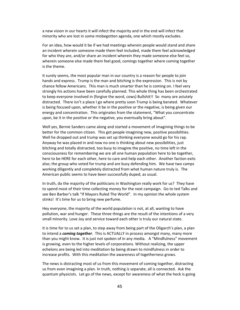a new vision in our hearts it will infect the majority and in the end will infect that minority who are lost in some misbegotten agenda, one which mostly excludes.

For an idea, how would it be if we had meetings wherein people would stand and share an incident wherein someone made them feel included, made them feel acknowledged for who they are, and/or share an incident wherein they made someone else feel so, wherein someone else made them feel good, comings together where coming together is the theme.

It surely seems, the most popular man in our country is a reason for people to join hands and express. Trump is the man and bitching is the expression. This is not by chance fellow Americans. This man is much smarter than he is coming on. I feel very strongly his actions have been carefully planned. This whole thing has been orchestrated to keep everyone involved in (forgive the word, cows) Bullshit!! So many are astutely distracted. There isn't a place I go where pretty soon Trump is being berated. Whatever is being focused upon, whether it be in the positive or the negative, is being given our energy and concentration. This originates from the statement, "What you concentrate upon, be it in the positive or the negative, you eventually bring about".

Well yes, Bernie Sanders came along and started a movement of imagining things to be better for the common citizen. This got people imagining new, positive possibilities. Well he dropped out and trump was set up thinking everyone would go for his rap. Anyway he was placed in and now no one is thinking about new possibilities, just bitching and totally distracted, too busy to imagine the positive, no time left in the consciousness for remembering we are all one human population here to be together, here to be HERE for each other, here to care and help each other. Another faction exits also; the group who voted for trump and are busy defending him. We have two camps working diligently and completely distracted from what human nature truly is. The American public seems to have been successfully duped, as usual.

In truth, do the majority of the politicians in Washington really work for us? They have to spend most of their time collecting money for the next campaign. Go to ted Talks and see Ben Barber's talk "If Mayors Ruled The World". In my opinion the whole system stinks! It's time for us to bring new perfume.

Hey everyone, the majority of the world population is not, at all, wanting to have pollution, war and hunger. These three things are the result of the intentions of a very small minority. Love Joy and service toward each other is truly our natural state.

It is time for to us set a plan, to step away from being part of the Oligarch's plan, a plan to intend a *coming together*. This is ACTUALLY in process amongst many, many more than you might know. It is just not spoken of in any media. A "Mindfulness" movement is growing, even to the higher levels of corporations. Without realizing, the upper echelons are being led into meditation by being drawn to mindfulness in order to increase profits. With this meditation the awareness of togetherness grows.

The news is distracting most of us from this movement of coming together, distracting us from even imagining a plan. In truth, nothing is separate, all is connected. Ask the quantum physicists. Let go of the news, except for awareness of what the heck is going